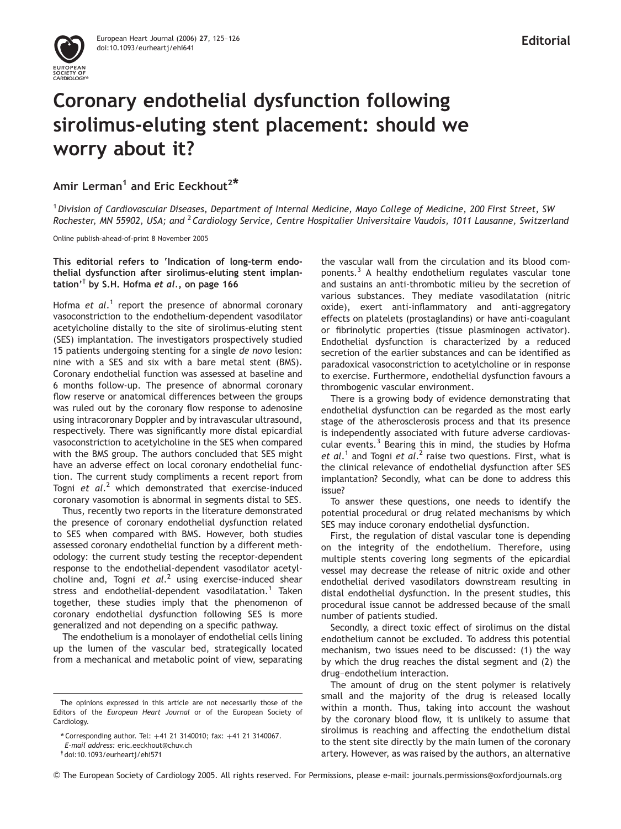

## Coronary endothelial dysfunction following sirolimus-eluting stent placement: should we worry about it?

Amir Lerman<sup>1</sup> and Eric Eeckhout<sup>2\*</sup>

<sup>1</sup> Division of Cardiovascular Diseases, Department of Internal Medicine, Mayo College of Medicine, 200 First Street, SW Rochester, MN 55902, USA; and <sup>2</sup> Cardiology Service, Centre Hospitalier Universitaire Vaudois, 1011 Lausanne, Switzerland

Online publish-ahead-of-print 8 November 2005

This editorial refers to 'Indication of long-term endothelial dysfunction after sirolimus-eluting stent implantation'<sup>†</sup> by S.H. Hofma et al., on page 166

Hofma et al.<sup>1</sup> report the presence of abnormal coronary vasoconstriction to the endothelium-dependent vasodilator acetylcholine distally to the site of sirolimus-eluting stent (SES) implantation. The investigators prospectively studied 15 patients undergoing stenting for a single de novo lesion: nine with a SES and six with a bare metal stent (BMS). Coronary endothelial function was assessed at baseline and 6 months follow-up. The presence of abnormal coronary flow reserve or anatomical differences between the groups was ruled out by the coronary flow response to adenosine using intracoronary Doppler and by intravascular ultrasound, respectively. There was significantly more distal epicardial vasoconstriction to acetylcholine in the SES when compared with the BMS group. The authors concluded that SES might have an adverse effect on local coronary endothelial function. The current study compliments a recent report from Togni et al.<sup>2</sup> which demonstrated that exercise-induced coronary vasomotion is abnormal in segments distal to SES.

Thus, recently two reports in the literature demonstrated the presence of coronary endothelial dysfunction related to SES when compared with BMS. However, both studies assessed coronary endothelial function by a different methodology: the current study testing the receptor-dependent response to the endothelial-dependent vasodilator acetylcholine and, Togni et  $al.^2$  using exercise-induced shear stress and endothelial-dependent vasodilatation.<sup>1</sup> Taken together, these studies imply that the phenomenon of coronary endothelial dysfunction following SES is more generalized and not depending on a specific pathway.

The endothelium is a monolayer of endothelial cells lining up the lumen of the vascular bed, strategically located from a mechanical and metabolic point of view, separating

E-mail address: eric.eeckhout@chuv.ch

the vascular wall from the circulation and its blood components. $3$  A healthy endothelium regulates vascular tone and sustains an anti-thrombotic milieu by the secretion of various substances. They mediate vasodilatation (nitric oxide), exert anti-inflammatory and anti-aggregatory effects on platelets (prostaglandins) or have anti-coagulant or fibrinolytic properties (tissue plasminogen activator). Endothelial dysfunction is characterized by a reduced secretion of the earlier substances and can be identified as paradoxical vasoconstriction to acetylcholine or in response to exercise. Furthermore, endothelial dysfunction favours a thrombogenic vascular environment.

There is a growing body of evidence demonstrating that endothelial dysfunction can be regarded as the most early stage of the atherosclerosis process and that its presence is independently associated with future adverse cardiovascular events. $3$  Bearing this in mind, the studies by Hofma et  $al.^1$  and Togni et  $al.^2$  raise two questions. First, what is the clinical relevance of endothelial dysfunction after SES implantation? Secondly, what can be done to address this issue?

To answer these questions, one needs to identify the potential procedural or drug related mechanisms by which SES may induce coronary endothelial dysfunction.

First, the regulation of distal vascular tone is depending on the integrity of the endothelium. Therefore, using multiple stents covering long segments of the epicardial vessel may decrease the release of nitric oxide and other endothelial derived vasodilators downstream resulting in distal endothelial dysfunction. In the present studies, this procedural issue cannot be addressed because of the small number of patients studied.

Secondly, a direct toxic effect of sirolimus on the distal endothelium cannot be excluded. To address this potential mechanism, two issues need to be discussed: (1) the way by which the drug reaches the distal segment and (2) the drug–endothelium interaction.

The amount of drug on the stent polymer is relatively small and the majority of the drug is released locally within a month. Thus, taking into account the washout by the coronary blood flow, it is unlikely to assume that sirolimus is reaching and affecting the endothelium distal to the stent site directly by the main lumen of the coronary artery. However, as was raised by the authors, an alternative

The opinions expressed in this article are not necessarily those of the Editors of the European Heart Journal or of the European Society of Cardiology.

<sup>\*</sup> Corresponding author. Tel:  $+41$  21 3140010; fax:  $+41$  21 3140067.

 $<sup>†</sup>$  doi:10.1093/eurhearti/ehi571</sup>

*<sup>&</sup>amp;* The European Society of Cardiology 2005. All rights reserved. For Permissions, please e-mail: journals.permissions@oxfordjournals.org